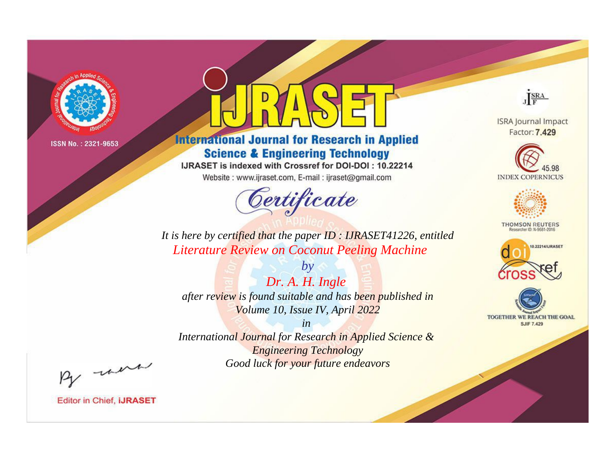

# **International Journal for Research in Applied Science & Engineering Technology**

IJRASET is indexed with Crossref for DOI-DOI: 10.22214

Website: www.ijraset.com, E-mail: ijraset@gmail.com



JERA

**ISRA Journal Impact** Factor: 7.429





**THOMSON REUTERS** 



TOGETHER WE REACH THE GOAL **SJIF 7.429** 

*It is here by certified that the paper ID : IJRASET41226, entitled Literature Review on Coconut Peeling Machine*

*by Dr. A. H. Ingle after review is found suitable and has been published in Volume 10, Issue IV, April 2022*

*in International Journal for Research in Applied Science &* 

*Engineering Technology Good luck for your future endeavors*

By morn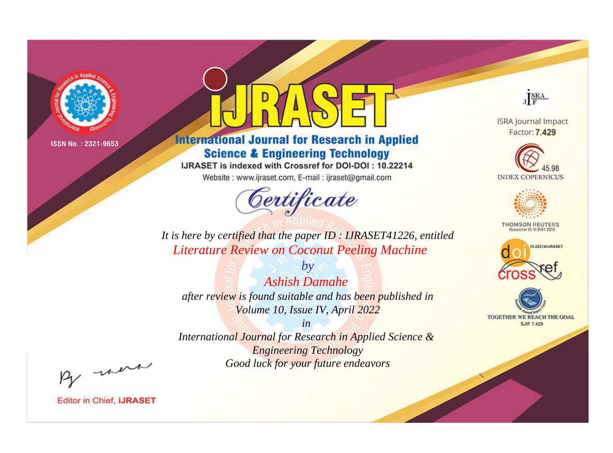

# **International Journal for Research in Applied Science & Engineering Technology**

IJRASET is indexed with Crossref for DOI-DOI: 10.22214

Website: www.ijraset.com, E-mail: ijraset@gmail.com



JERA

**ISRA Journal Impact** Factor: 7.429





**THOMSON REUTERS** 



TOGETHER WE REACH THE GOAL **SJIF 7.429** 

*It is here by certified that the paper ID : IJRASET41226, entitled Literature Review on Coconut Peeling Machine*

*Ashish Damahe after review is found suitable and has been published in Volume 10, Issue IV, April 2022*

*by*

*in* 

*International Journal for Research in Applied Science & Engineering Technology Good luck for your future endeavors*

By morn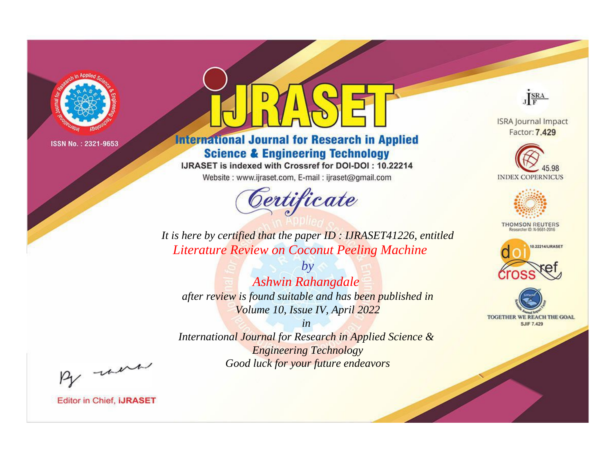

# **International Journal for Research in Applied Science & Engineering Technology**

IJRASET is indexed with Crossref for DOI-DOI: 10.22214

Website: www.ijraset.com, E-mail: ijraset@gmail.com



JERA

**ISRA Journal Impact** Factor: 7.429





**THOMSON REUTERS** 



TOGETHER WE REACH THE GOAL **SJIF 7.429** 

It is here by certified that the paper ID: IJRASET41226, entitled **Literature Review on Coconut Peeling Machine** 

**Ashwin Rahangdale** after review is found suitable and has been published in Volume 10, Issue IV, April 2022

 $by$ 

 $in$ International Journal for Research in Applied Science & **Engineering Technology** Good luck for your future endeavors

By morn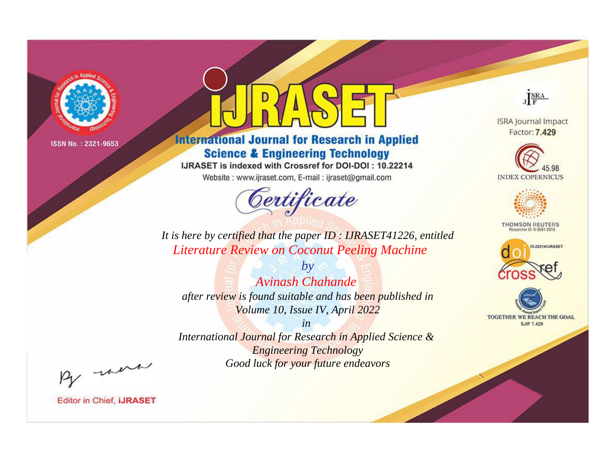

# **International Journal for Research in Applied Science & Engineering Technology**

IJRASET is indexed with Crossref for DOI-DOI: 10.22214

Website: www.ijraset.com, E-mail: ijraset@gmail.com



JERA

**ISRA Journal Impact** Factor: 7.429





**THOMSON REUTERS** 



TOGETHER WE REACH THE GOAL **SJIF 7.429** 

It is here by certified that the paper ID : IJRASET41226, entitled **Literature Review on Coconut Peeling Machine** 

 $b\nu$ Avinash Chahande after review is found suitable and has been published in Volume 10, Issue IV, April 2022

 $in$ International Journal for Research in Applied Science & **Engineering Technology** Good luck for your future endeavors

By morn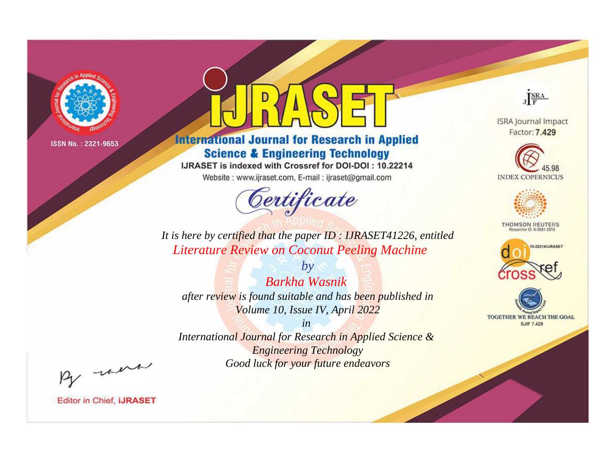

# **International Journal for Research in Applied Science & Engineering Technology**

IJRASET is indexed with Crossref for DOI-DOI: 10.22214

Website: www.ijraset.com, E-mail: ijraset@gmail.com



JERA

**ISRA Journal Impact** Factor: 7.429





**THOMSON REUTERS** 



TOGETHER WE REACH THE GOAL **SJIF 7.429** 

It is here by certified that the paper ID : IJRASET41226, entitled **Literature Review on Coconut Peeling Machine** 

**Barkha Wasnik** after review is found suitable and has been published in Volume 10, Issue IV, April 2022

 $b\nu$ 

 $in$ International Journal for Research in Applied Science & **Engineering Technology** Good luck for your future endeavors

By morn